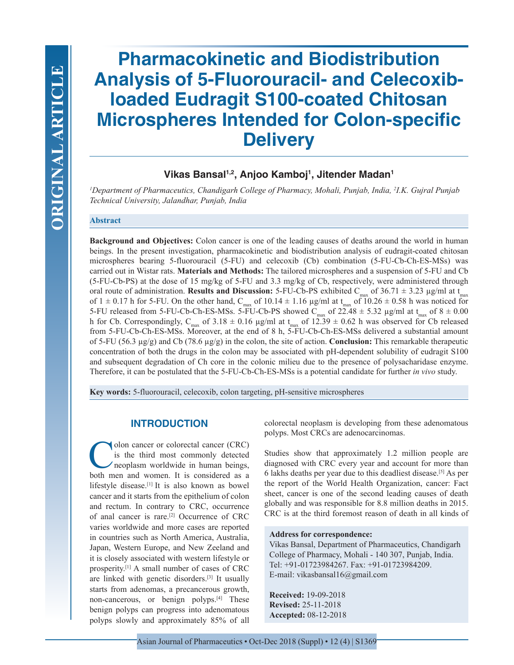# **Pharmacokinetic and Biodistribution Analysis of 5-Fluorouracil- and Celecoxibloaded Eudragit S100-coated Chitosan Microspheres Intended for Colon-specific Delivery**

## **Vikas Bansal1,2, Anjoo Kamboj1 , Jitender Madan1**

*1 Department of Pharmaceutics, Chandigarh College of Pharmacy, Mohali, Punjab, India, 2 I.K. Gujral Punjab Technical University, Jalandhar, Punjab, India*

#### **Abstract**

**Background and Objectives:** Colon cancer is one of the leading causes of deaths around the world in human beings. In the present investigation, pharmacokinetic and biodistribution analysis of eudragit-coated chitosan microspheres bearing 5-fluorouracil (5-FU) and celecoxib (Cb) combination (5-FU-Cb-Ch-ES-MSs) was carried out in Wistar rats. **Materials and Methods:** The tailored microspheres and a suspension of 5-FU and Cb (5-FU-Cb-PS) at the dose of 15 mg/kg of 5-FU and 3.3 mg/kg of Cb, respectively, were administered through oral route of administration. **Results and Discussion:** 5-FU-Cb-PS exhibited  $C_{\text{max}}$  of 36.71  $\pm$  3.23 µg/ml at t<sub>max</sub> of  $1 \pm 0.17$  h for 5-FU. On the other hand, C<sub>max</sub> of  $10.14 \pm 1.16$  µg/ml at t<sub>max</sub> of  $10.26 \pm 0.58$  h was noticed for 5-FU released from 5-FU-Cb-Ch-ES-MSs. 5-FU-Cb-PS showed  $C_{\text{max}}$  of  $22.48 \pm 5.32$  µg/ml at  $t_{\text{max}}$  of  $8 \pm 0.00$ h for Cb. Correspondingly, C<sub>max</sub> of 3.18  $\pm$  0.16 µg/ml at t<sub>max</sub> of 12.39  $\pm$  0.62 h was observed for Cb released from 5-FU-Cb-Ch-ES-MSs. Moreover, at the end of 8 h, 5-FU-Cb-Ch-ES-MSs delivered a substantial amount of 5-FU (56.3 µg/g) and Cb (78.6 µg/g) in the colon, the site of action. **Conclusion:** This remarkable therapeutic concentration of both the drugs in the colon may be associated with pH-dependent solubility of eudragit S100 and subsequent degradation of Ch core in the colonic milieu due to the presence of polysacharidase enzyme. Therefore, it can be postulated that the 5-FU-Cb-Ch-ES-MSs is a potential candidate for further *in vivo* study.

**Key words:** 5-fluorouracil, celecoxib, colon targeting, pH-sensitive microspheres

## **INTRODUCTION**

olon cancer or colorectal cancer (CRC) is the third most commonly detected neoplasm worldwide in human beings, both men and women. It is considered as a lifestyle disease.[1] It is also known as bowel cancer and it starts from the epithelium of colon and rectum. In contrary to CRC, occurrence of anal cancer is rare.[2] Occurrence of CRC varies worldwide and more cases are reported in countries such as North America, Australia, Japan, Western Europe, and New Zeeland and it is closely associated with western lifestyle or prosperity.[1] A small number of cases of CRC are linked with genetic disorders.[3] It usually starts from adenomas, a precancerous growth, non-cancerous, or benign polyps.[4] These benign polyps can progress into adenomatous polyps slowly and approximately 85% of all colorectal neoplasm is developing from these adenomatous polyps. Most CRCs are adenocarcinomas.

Studies show that approximately 1.2 million people are diagnosed with CRC every year and account for more than 6 lakhs deaths per year due to this deadliest disease.[5] As per the report of the World Health Organization, cancer: Fact sheet, cancer is one of the second leading causes of death globally and was responsible for 8.8 million deaths in 2015. CRC is at the third foremost reason of death in all kinds of

#### **Address for correspondence:**

Vikas Bansal, Department of Pharmaceutics, Chandigarh College of Pharmacy, Mohali - 140 307, Punjab, India. Tel: +91-01723984267. Fax: +91-01723984209. E-mail: vikasbansal16@gmail.com

**Received:** 19-09-2018 **Revised:** 25-11-2018 **Accepted:** 08-12-2018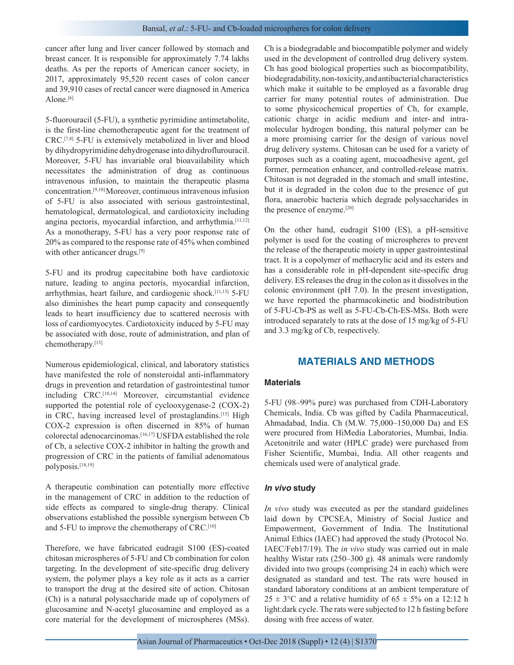cancer after lung and liver cancer followed by stomach and breast cancer. It is responsible for approximately 7.74 lakhs deaths. As per the reports of American cancer society, in 2017, approximately 95,520 recent cases of colon cancer and 39,910 cases of rectal cancer were diagnosed in America Alone. $[6]$ 

5-fluorouracil (5-FU), a synthetic pyrimidine antimetabolite, is the first-line chemotherapeutic agent for the treatment of CRC.[7,8] 5-FU is extensively metabolized in liver and blood by dihydropyrimidine dehydrogenase into dihydroflurouracil. Moreover, 5-FU has invariable oral bioavailability which necessitates the administration of drug as continuous intravenous infusion, to maintain the therapeutic plasma concentration.[9,10] Moreover, continuous intravenous infusion of 5-FU is also associated with serious gastrointestinal, hematological, dermatological, and cardiotoxicity including angina pectoris, myocardial infarction, and arrhythmia.<sup>[11,12]</sup> As a monotherapy, 5-FU has a very poor response rate of 20% as compared to the response rate of 45% when combined with other anticancer drugs.<sup>[9]</sup>

5-FU and its prodrug capecitabine both have cardiotoxic nature, leading to angina pectoris, myocardial infarction, arrhythmias, heart failure, and cardiogenic shock.[11,13] 5-FU also diminishes the heart pump capacity and consequently leads to heart insufficiency due to scattered necrosis with loss of cardiomyocytes. Cardiotoxicity induced by 5-FU may be associated with dose, route of administration, and plan of chemotherapy.[13]

Numerous epidemiological, clinical, and laboratory statistics have manifested the role of nonsteroidal anti-inflammatory drugs in prevention and retardation of gastrointestinal tumor including CRC.[10,14] Moreover, circumstantial evidence supported the potential role of cyclooxygenase-2 (COX-2) in CRC, having increased level of prostaglandins.<sup>[15]</sup> High COX-2 expression is often discerned in 85% of human colorectal adenocarcinomas.[16,17] USFDA established the role of Cb, a selective COX-2 inhibitor in halting the growth and progression of CRC in the patients of familial adenomatous polyposis.[18,19]

A therapeutic combination can potentially more effective in the management of CRC in addition to the reduction of side effects as compared to single-drug therapy. Clinical observations established the possible synergism between Cb and 5-FU to improve the chemotherapy of CRC.[10]

Therefore, we have fabricated eudragit S100 (ES)-coated chitosan microspheres of 5-FU and Cb combination for colon targeting. In the development of site-specific drug delivery system, the polymer plays a key role as it acts as a carrier to transport the drug at the desired site of action. Chitosan (Ch) is a natural polysaccharide made up of copolymers of glucosamine and N-acetyl glucosamine and employed as a core material for the development of microspheres (MSs).

Ch is a biodegradable and biocompatible polymer and widely used in the development of controlled drug delivery system. Ch has good biological properties such as biocompatibility, biodegradability, non-toxicity, and antibacterial characteristics which make it suitable to be employed as a favorable drug carrier for many potential routes of administration. Due to some physicochemical properties of Ch, for example, cationic charge in acidic medium and inter- and intramolecular hydrogen bonding, this natural polymer can be a more promising carrier for the design of various novel drug delivery systems. Chitosan can be used for a variety of purposes such as a coating agent, mucoadhesive agent, gel former, permeation enhancer, and controlled-release matrix. Chitosan is not degraded in the stomach and small intestine, but it is degraded in the colon due to the presence of gut flora, anaerobic bacteria which degrade polysaccharides in the presence of enzyme.[20]

On the other hand, eudragit S100 (ES), a pH-sensitive polymer is used for the coating of microspheres to prevent the release of the therapeutic moiety in upper gastrointestinal tract. It is a copolymer of methacrylic acid and its esters and has a considerable role in pH-dependent site-specific drug delivery. ES releases the drug in the colon as it dissolves in the colonic environment (pH 7.0). In the present investigation, we have reported the pharmacokinetic and biodistribution of 5-FU-Cb-PS as well as 5-FU-Cb-Ch-ES-MSs. Both were introduced separately to rats at the dose of 15 mg/kg of 5-FU and 3.3 mg/kg of Cb, respectively.

## **MATERIALS AND METHODS**

### **Materials**

5-FU (98–99% pure) was purchased from CDH-Laboratory Chemicals, India. Cb was gifted by Cadila Pharmaceutical, Ahmadabad, India. Ch (M.W. 75,000–150,000 Da) and ES were procured from HiMedia Laboratories, Mumbai, India. Acetonitrile and water (HPLC grade) were purchased from Fisher Scientific, Mumbai, India. All other reagents and chemicals used were of analytical grade.

#### *In vivo* **study**

*In vivo* study was executed as per the standard guidelines laid down by CPCSEA, Ministry of Social Justice and Empowerment, Government of India. The Institutional Animal Ethics (IAEC) had approved the study (Protocol No. IAEC/Feb17/19). The *in vivo* study was carried out in male healthy Wistar rats (250–300 g). 48 animals were randomly divided into two groups (comprising 24 in each) which were designated as standard and test. The rats were housed in standard laboratory conditions at an ambient temperature of  $25 \pm 3$ °C and a relative humidity of  $65 \pm 5$ % on a 12:12 h light:dark cycle. The rats were subjected to 12 h fasting before dosing with free access of water.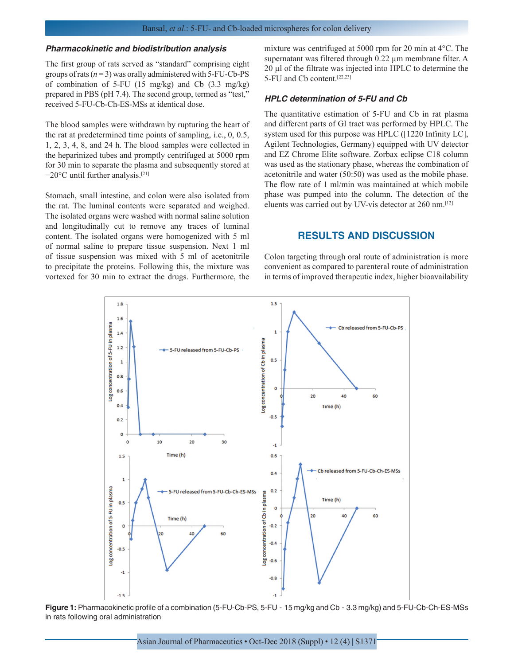#### *Pharmacokinetic and biodistribution analysis*

The first group of rats served as "standard" comprising eight groups of rats  $(n=3)$  was orally administered with 5-FU-Cb-PS of combination of 5-FU (15 mg/kg) and Cb (3.3 mg/kg) prepared in PBS (pH 7.4). The second group, termed as "test," received 5-FU-Cb-Ch-ES-MSs at identical dose.

The blood samples were withdrawn by rupturing the heart of the rat at predetermined time points of sampling, i.e., 0, 0.5, 1, 2, 3, 4, 8, and 24 h. The blood samples were collected in the heparinized tubes and promptly centrifuged at 5000 rpm for 30 min to separate the plasma and subsequently stored at −20°C until further analysis.[21]

Stomach, small intestine, and colon were also isolated from the rat. The luminal contents were separated and weighed. The isolated organs were washed with normal saline solution and longitudinally cut to remove any traces of luminal content. The isolated organs were homogenized with 5 ml of normal saline to prepare tissue suspension. Next 1 ml of tissue suspension was mixed with 5 ml of acetonitrile to precipitate the proteins. Following this, the mixture was vortexed for 30 min to extract the drugs. Furthermore, the mixture was centrifuged at 5000 rpm for 20 min at 4°C. The supernatant was filtered through 0.22 µm membrane filter. A 20 µl of the filtrate was injected into HPLC to determine the 5-FU and Cb content.[22,23]

#### *HPLC determination of 5-FU and Cb*

The quantitative estimation of 5-FU and Cb in rat plasma and different parts of GI tract was performed by HPLC. The system used for this purpose was HPLC ([1220 Infinity LC], Agilent Technologies, Germany) equipped with UV detector and EZ Chrome Elite software. Zorbax eclipse C18 column was used as the stationary phase, whereas the combination of acetonitrile and water (50:50) was used as the mobile phase. The flow rate of 1 ml/min was maintained at which mobile phase was pumped into the column. The detection of the eluents was carried out by UV-vis detector at 260 nm.[12]

## **RESULTS AND DISCUSSION**

Colon targeting through oral route of administration is more convenient as compared to parenteral route of administration in terms of improved therapeutic index, higher bioavailability



**Figure 1:** Pharmacokinetic profile of a combination (5-FU-Cb-PS, 5-FU - 15 mg/kg and Cb - 3.3 mg/kg) and 5-FU-Cb-Ch-ES-MSs in rats following oral administration

Asian Journal of Pharmaceutics • Oct-Dec 2018 (Suppl) • 12 (4) | S1371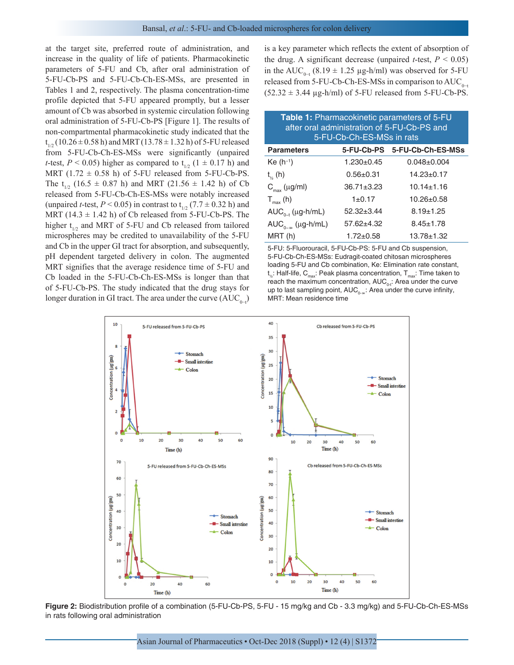at the target site, preferred route of administration, and increase in the quality of life of patients. Pharmacokinetic parameters of 5-FU and Cb, after oral administration of 5-FU-Cb-PS and 5-FU-Cb-Ch-ES-MSs, are presented in Tables 1 and 2, respectively. The plasma concentration-time profile depicted that 5-FU appeared promptly, but a lesser amount of Cb was absorbed in systemic circulation following oral administration of 5-FU-Cb-PS [Figure 1]. The results of non-compartmental pharmacokinetic study indicated that the  $t_{1/2}$  (10.26  $\pm$  0.58 h) and MRT (13.78  $\pm$  1.32 h) of 5-FU released from 5-FU-Cb-Ch-ES-MSs were significantly (unpaired *t*-test,  $P < 0.05$ ) higher as compared to  $t_{1/2}$  (1  $\pm$  0.17 h) and MRT ( $1.72 \pm 0.58$  h) of 5-FU released from 5-FU-Cb-PS. The t<sub>1/2</sub> (16.5  $\pm$  0.87 h) and MRT (21.56  $\pm$  1.42 h) of Cb released from 5-FU-Cb-Ch-ES-MSs were notably increased (unpaired *t*-test,  $P < 0.05$ ) in contrast to t<sub>1/2</sub> (7.7  $\pm$  0.32 h) and MRT  $(14.3 \pm 1.42 \text{ h})$  of Cb released from 5-FU-Cb-PS. The higher  $t_{1/2}$  and MRT of 5-FU and Cb released from tailored microspheres may be credited to unavailability of the 5-FU and Cb in the upper GI tract for absorption, and subsequently, pH dependent targeted delivery in colon. The augmented MRT signifies that the average residence time of 5-FU and Cb loaded in the 5-FU-Cb-Ch-ES-MSs is longer than that of 5-FU-Cb-PS. The study indicated that the drug stays for longer duration in GI tract. The area under the curve  $(AUC_{0-t})$ 

is a key parameter which reflects the extent of absorption of the drug. A significant decrease (unpaired *t*-test,  $P < 0.05$ ) in the AUC<sub>0−t</sub> (8.19 ± 1.25 µg-h/ml) was observed for 5-FU released from 5-FU-Cb-Ch-ES-MSs in comparison to  $AUC_{0-t}$  $(52.32 \pm 3.44 \text{ µg-h/ml})$  of 5-FU released from 5-FU-Cb-PS.

| Table 1: Pharmacokinetic parameters of 5-FU<br>after oral administration of 5-FU-Cb-PS and<br>5-FU-Cb-Ch-ES-MSs in rats |                  |                              |  |  |
|-------------------------------------------------------------------------------------------------------------------------|------------------|------------------------------|--|--|
| <b>Parameters</b>                                                                                                       |                  | 5-FU-Cb-PS 5-FU-Cb-Ch-ES-MSs |  |  |
| $Ke(h^{-1})$                                                                                                            | $1.230 \pm 0.45$ | $0.048 \pm 0.004$            |  |  |
| $t_{\kappa}$ (h)                                                                                                        | $0.56 + 0.31$    | $14.23 \pm 0.17$             |  |  |
| $C_{\text{max}}$ (µg/ml)                                                                                                | $36.71 \pm 3.23$ | $10.14 \pm 1.16$             |  |  |
| $T_{max}$ (h)                                                                                                           | $1 \pm 0.17$     | $10.26 \pm 0.58$             |  |  |
| $AUC_{0-t}$ (µg-h/mL)                                                                                                   | $52.32 \pm 3.44$ | $8.19 \pm 1.25$              |  |  |
| $AUC_{0-\infty}$ (µg-h/mL)                                                                                              | $57.62 \pm 4.32$ | $8.45 \pm 1.78$              |  |  |
| MRT (h)                                                                                                                 | $1.72 \pm 0.58$  | $13.78 \pm 1.32$             |  |  |

5-FU: 5-Fluorouracil, 5-FU-Cb-PS: 5-FU and Cb suspension, 5-FU-Cb-Ch-ES-MSs: Eudragit-coated chitosan microspheres loading 5-FU and Cb combination, Ke: Elimination rate constant,  $\mathsf{t}_\varkappa$ : Half-life,  $\mathsf{C}_{\mathsf{max}}$ : Peak plasma concentration,  $\mathsf{T}_{\mathsf{max}}$ : Time taken to reach the maximum concentration,  $\mathsf{AUC}_{0\cdot t}$ : Area under the curve up to last sampling point,  $\mathsf{AUC}_{0-\infty}$ : Area under the curve infinity, MRT: Mean residence time



**Figure 2:** Biodistribution profile of a combination (5-FU-Cb-PS, 5-FU - 15 mg/kg and Cb - 3.3 mg/kg) and 5-FU-Cb-Ch-ES-MSs in rats following oral administration

Asian Journal of Pharmaceutics • Oct-Dec 2018 (Suppl) • 12 (4) | S1372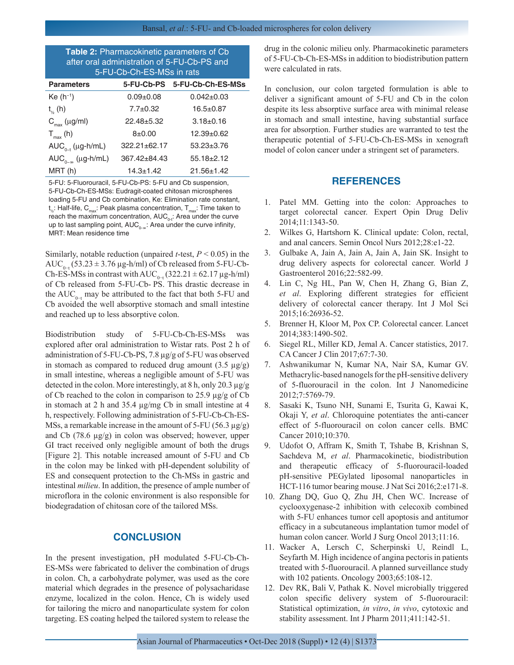| Table 2: Pharmacokinetic parameters of Cb<br>after oral administration of 5-FU-Cb-PS and<br>5-FU-Cb-Ch-ES-MSs in rats |                              |  |  |  |
|-----------------------------------------------------------------------------------------------------------------------|------------------------------|--|--|--|
|                                                                                                                       | 5-FU-Cb-PS 5-FU-Cb-Ch-ES-MSs |  |  |  |
| $0.09 + 0.08$                                                                                                         | $0.042 \pm 0.03$             |  |  |  |
| $7.7 \pm 0.32$                                                                                                        | $16.5 \pm 0.87$              |  |  |  |
| $22.48 + 5.32$                                                                                                        | $3.18 \pm 0.16$              |  |  |  |
|                                                                                                                       |                              |  |  |  |

| $T_{\text{max}}$ (h)                                      | $8 + 0.00$         | $12.39 + 0.62$   |  |  |
|-----------------------------------------------------------|--------------------|------------------|--|--|
| $AUC_{n-t}$ (µg-h/mL)                                     | $322.21 \pm 62.17$ | $53.23 \pm 3.76$ |  |  |
| $AUC_{n-m}$ (µg-h/mL)                                     | 367.42±84.43       | $55.18 \pm 2.12$ |  |  |
| MRT (h)                                                   | $14.3 \pm 1.42$    | $21.56 \pm 1.42$ |  |  |
| 5-FU: 5-Fluorouracil, 5-FU-Cb-PS: 5-FU and Cb suspension, |                    |                  |  |  |

5-FU-Cb-Ch-ES-MSs: Eudragit-coated chitosan microspheres loading 5-FU and Cb combination, Ke: Elimination rate constant,  $\mathsf{t}_\varkappa$ : Half-life,  $\mathsf{C}_{\mathsf{max}}$ : Peak plasma concentration,  $\mathsf{T}_{\mathsf{max}}$ : Time taken to reach the maximum concentration,  $\mathsf{AUC}_{0\cdot t}$ : Area under the curve up to last sampling point,  $AUC_{0-\infty}$ : Area under the curve infinity, MRT: Mean residence time

Similarly, notable reduction (unpaired *t*-test, *P* < 0.05) in the AUC<sub>0−t</sub> (53.23 ± 3.76 µg-h/ml) of Cb released from 5-FU-Cb-Ch-ES-MSs in contrast with AUC<sub>0-t</sub> (322.21 ± 62.17 µg-h/ml) of Cb released from 5-FU-Cb- PS. This drastic decrease in the AUC<sub>0−t</sub> may be attributed to the fact that both 5-FU and Cb avoided the well absorptive stomach and small intestine and reached up to less absorptive colon.

Biodistribution study of 5-FU-Cb-Ch-ES-MSs was explored after oral administration to Wistar rats. Post 2 h of administration of 5-FU-Cb-PS, 7.8 µg/g of 5-FU was observed in stomach as compared to reduced drug amount  $(3.5 \text{ }\mu\text{g/g})$ in small intestine, whereas a negligible amount of 5-FU was detected in the colon. More interestingly, at 8 h, only 20.3 µg/g of Cb reached to the colon in comparison to 25.9 µg/g of Cb in stomach at 2 h and 35.4 µg/mg Cb in small intestine at 4 h, respectively. Following administration of 5-FU-Cb-Ch-ES-MSs, a remarkable increase in the amount of 5-FU (56.3  $\mu$ g/g) and Cb (78.6 µg/g) in colon was observed; however, upper GI tract received only negligible amount of both the drugs [Figure 2]. This notable increased amount of 5-FU and Cb in the colon may be linked with pH-dependent solubility of ES and consequent protection to the Ch-MSs in gastric and intestinal *milieu*. In addition, the presence of ample number of microflora in the colonic environment is also responsible for biodegradation of chitosan core of the tailored MSs.

## **CONCLUSION**

In the present investigation, pH modulated 5-FU-Cb-Ch-ES-MSs were fabricated to deliver the combination of drugs in colon. Ch, a carbohydrate polymer, was used as the core material which degrades in the presence of polysacharidase enzyme, localized in the colon. Hence, Ch is widely used for tailoring the micro and nanoparticulate system for colon targeting. ES coating helped the tailored system to release the drug in the colonic milieu only. Pharmacokinetic parameters of 5-FU-Cb-Ch-ES-MSs in addition to biodistribution pattern were calculated in rats.

In conclusion, our colon targeted formulation is able to deliver a significant amount of 5-FU and Cb in the colon despite its less absorptive surface area with minimal release in stomach and small intestine, having substantial surface area for absorption. Further studies are warranted to test the therapeutic potential of 5-FU-Cb-Ch-ES-MSs in xenograft model of colon cancer under a stringent set of parameters.

## **REFERENCES**

- 1. Patel MM. Getting into the colon: Approaches to target colorectal cancer. Expert Opin Drug Deliv 2014;11:1343-50.
- 2. Wilkes G, Hartshorn K. Clinical update: Colon, rectal, and anal cancers. Semin Oncol Nurs 2012;28:e1-22.
- 3. Gulbake A, Jain A, Jain A, Jain A, Jain SK. Insight to drug delivery aspects for colorectal cancer. World J Gastroenterol 2016;22:582-99.
- 4. Lin C, Ng HL, Pan W, Chen H, Zhang G, Bian Z, *et al*. Exploring different strategies for efficient delivery of colorectal cancer therapy. Int J Mol Sci 2015;16:26936-52.
- 5. Brenner H, Kloor M, Pox CP. Colorectal cancer. Lancet 2014;383:1490-502.
- 6. Siegel RL, Miller KD, Jemal A. Cancer statistics, 2017. CA Cancer J Clin 2017;67:7-30.
- 7. Ashwanikumar N, Kumar NA, Nair SA, Kumar GV. Methacrylic-based nanogels for the pH-sensitive delivery of 5-fluorouracil in the colon. Int J Nanomedicine 2012;7:5769-79.
- 8. Sasaki K, Tsuno NH, Sunami E, Tsurita G, Kawai K, Okaji Y, *et al*. Chloroquine potentiates the anti-cancer effect of 5-fluorouracil on colon cancer cells. BMC Cancer 2010;10:370.
- 9. Udofot O, Affram K, Smith T, Tshabe B, Krishnan S, Sachdeva M, *et al*. Pharmacokinetic, biodistribution and therapeutic efficacy of 5-fluorouracil-loaded pH-sensitive PEGylated liposomal nanoparticles in HCT-116 tumor bearing mouse. J Nat Sci 2016;2:e171-8.
- 10. Zhang DQ, Guo Q, Zhu JH, Chen WC. Increase of cyclooxygenase-2 inhibition with celecoxib combined with 5-FU enhances tumor cell apoptosis and antitumor efficacy in a subcutaneous implantation tumor model of human colon cancer. World J Surg Oncol 2013;11:16.
- 11. Wacker A, Lersch C, Scherpinski U, Reindl L, Seyfarth M. High incidence of angina pectoris in patients treated with 5-fluorouracil. A planned surveillance study with 102 patients. Oncology 2003;65:108-12.
- 12. Dev RK, Bali V, Pathak K. Novel microbially triggered colon specific delivery system of 5-fluorouracil: Statistical optimization, *in vitro*, *in vivo*, cytotoxic and stability assessment. Int J Pharm 2011;411:142-51.